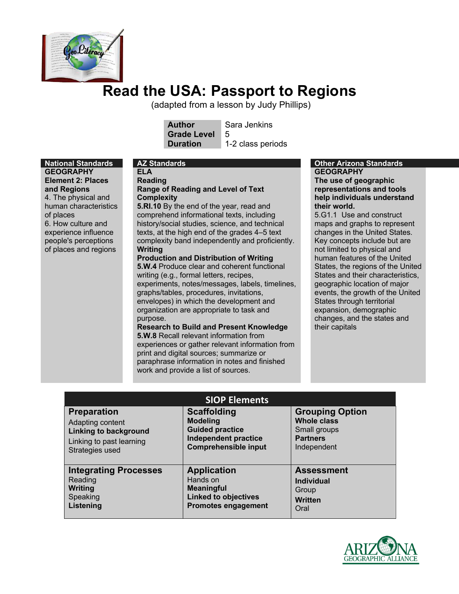

# **Read the USA: Passport to Regions**

(adapted from a lesson by Judy Phillips)

**Author** Sara Jenkins **Grade Level** 5

**Duration** 1-2 class periods

# **GEOGRAPHY Element 2: Places and Regions** 4. The physical and

human characteristics of places 6. How culture and experience influence people's perceptions of places and regions

**ELA Reading** 

# **Range of Reading and Level of Text Complexity**

**5.RI.10** By the end of the year, read and comprehend informational texts, including history/social studies, science, and technical texts, at the high end of the grades 4–5 text complexity band independently and proficiently. **Writing**

# **Production and Distribution of Writing**

**5.W.4** Produce clear and coherent functional writing (e.g., formal letters, recipes, experiments, notes/messages, labels, timelines, graphs/tables, procedures, invitations, envelopes) in which the development and organization are appropriate to task and purpose.

#### **Research to Build and Present Knowledge 5.W.8** Recall relevant information from experiences or gather relevant information from print and digital sources; summarize or paraphrase information in notes and finished work and provide a list of sources.

#### **National Standards AZ Standards Other Arizona Standards GEOGRAPHY The use of geographic representations and tools**

**help individuals understand their world.** 5.G1.1 Use and construct maps and graphs to represent

changes in the United States. Key concepts include but are not limited to physical and human features of the United States, the regions of the United States and their characteristics, geographic location of major events, the growth of the United States through territorial expansion, demographic changes, and the states and their capitals

| <b>SIOP Elements</b>         |                             |                        |
|------------------------------|-----------------------------|------------------------|
| <b>Preparation</b>           | <b>Scaffolding</b>          | <b>Grouping Option</b> |
| Adapting content             | <b>Modeling</b>             | <b>Whole class</b>     |
| <b>Linking to background</b> | <b>Guided practice</b>      | Small groups           |
| Linking to past learning     | <b>Independent practice</b> | <b>Partners</b>        |
| Strategies used              | <b>Comprehensible input</b> | Independent            |
| <b>Integrating Processes</b> | <b>Application</b>          | <b>Assessment</b>      |
| Reading                      | Hands on                    | <b>Individual</b>      |
| Writing                      | <b>Meaningful</b>           | Group                  |
| Speaking                     | <b>Linked to objectives</b> | <b>Written</b>         |
| Listening                    | <b>Promotes engagement</b>  | Oral                   |

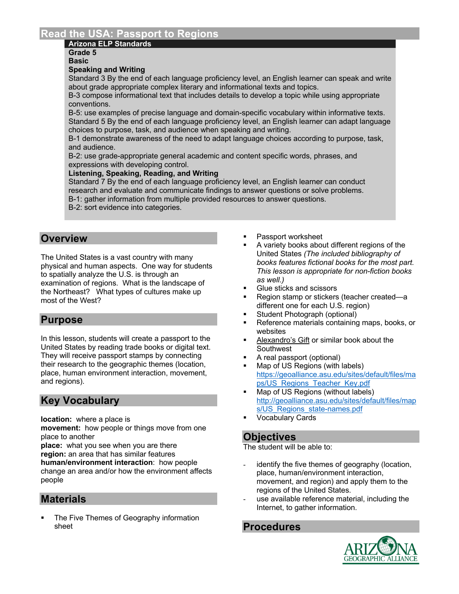# **Read the USA: Passport to Regions**

### **Arizona ELP Standards**

**Grade 5 Basic**

#### **Speaking and Writing**

Standard 3 By the end of each language proficiency level, an English learner can speak and write about grade appropriate complex literary and informational texts and topics.

B-3 compose informational text that includes details to develop a topic while using appropriate conventions.

B-5: use examples of precise language and domain-specific vocabulary within informative texts. Standard 5 By the end of each language proficiency level, an English learner can adapt language choices to purpose, task, and audience when speaking and writing.

B-1 demonstrate awareness of the need to adapt language choices according to purpose, task, and audience.

B-2: use grade-appropriate general academic and content specific words, phrases, and expressions with developing control.

#### **Listening, Speaking, Reading, and Writing**

Standard 7 By the end of each language proficiency level, an English learner can conduct research and evaluate and communicate findings to answer questions or solve problems. B-1: gather information from multiple provided resources to answer questions.

B-2: sort evidence into categories.

# **Overview**

The United States is a vast country with many physical and human aspects. One way for students to spatially analyze the U.S. is through an examination of regions. What is the landscape of the Northeast? What types of cultures make up most of the West?

# **Purpose**

In this lesson, students will create a passport to the United States by reading trade books or digital text. They will receive passport stamps by connecting their research to the geographic themes (location, place, human environment interaction, movement, and regions).

# **Key Vocabulary**

**location:** where a place is

**movement:** how people or things move from one place to another

**place:** what you see when you are there **region:** an area that has similar features **human/environment interaction**: how people change an area and/or how the environment affects people

# **Materials**

The Five Themes of Geography information sheet

- § Passport worksheet
- § A variety books about different regions of the United States *(The included bibliography of books features fictional books for the most part. This lesson is appropriate for non-fiction books as well.)*
- § Glue sticks and scissors
- § Region stamp or stickers (teacher created—a different one for each U.S. region)
- Student Photograph (optional)
- Reference materials containing maps, books, or websites
- § Alexandro's Gift or similar book about the **Southwest**
- § A real passport (optional)
- Map of US Regions (with labels) https://geoalliance.asu.edu/sites/default/files/ma ps/US\_Regions\_Teacher\_Key.pdf
- Map of US Regions (without labels) http://geoalliance.asu.edu/sites/default/files/map s/US\_Regions\_state-names.pdf
- § Vocabulary Cards

# **Objectives**

The student will be able to:

- identify the five themes of geography (location, place, human/environment interaction, movement, and region) and apply them to the regions of the United States.
- use available reference material, including the Internet, to gather information.

# **Procedures**